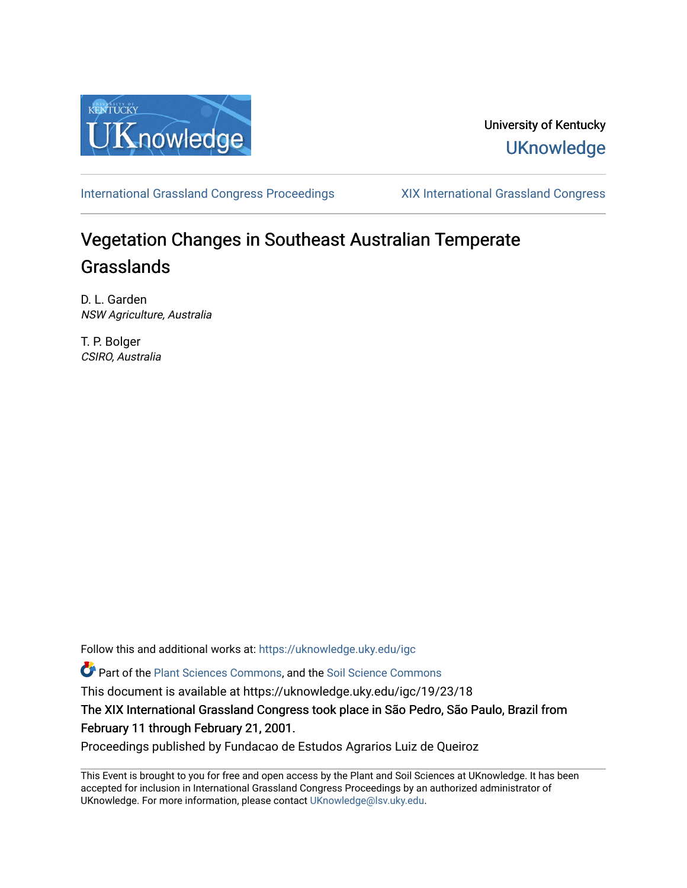

### University of Kentucky **UKnowledge**

[International Grassland Congress Proceedings](https://uknowledge.uky.edu/igc) [XIX International Grassland Congress](https://uknowledge.uky.edu/igc/19) 

# Vegetation Changes in Southeast Australian Temperate Grasslands

D. L. Garden NSW Agriculture, Australia

T. P. Bolger CSIRO, Australia

Follow this and additional works at: [https://uknowledge.uky.edu/igc](https://uknowledge.uky.edu/igc?utm_source=uknowledge.uky.edu%2Figc%2F19%2F23%2F18&utm_medium=PDF&utm_campaign=PDFCoverPages) 

Part of the [Plant Sciences Commons](http://network.bepress.com/hgg/discipline/102?utm_source=uknowledge.uky.edu%2Figc%2F19%2F23%2F18&utm_medium=PDF&utm_campaign=PDFCoverPages), and the [Soil Science Commons](http://network.bepress.com/hgg/discipline/163?utm_source=uknowledge.uky.edu%2Figc%2F19%2F23%2F18&utm_medium=PDF&utm_campaign=PDFCoverPages) 

This document is available at https://uknowledge.uky.edu/igc/19/23/18

The XIX International Grassland Congress took place in São Pedro, São Paulo, Brazil from February 11 through February 21, 2001.

Proceedings published by Fundacao de Estudos Agrarios Luiz de Queiroz

This Event is brought to you for free and open access by the Plant and Soil Sciences at UKnowledge. It has been accepted for inclusion in International Grassland Congress Proceedings by an authorized administrator of UKnowledge. For more information, please contact [UKnowledge@lsv.uky.edu](mailto:UKnowledge@lsv.uky.edu).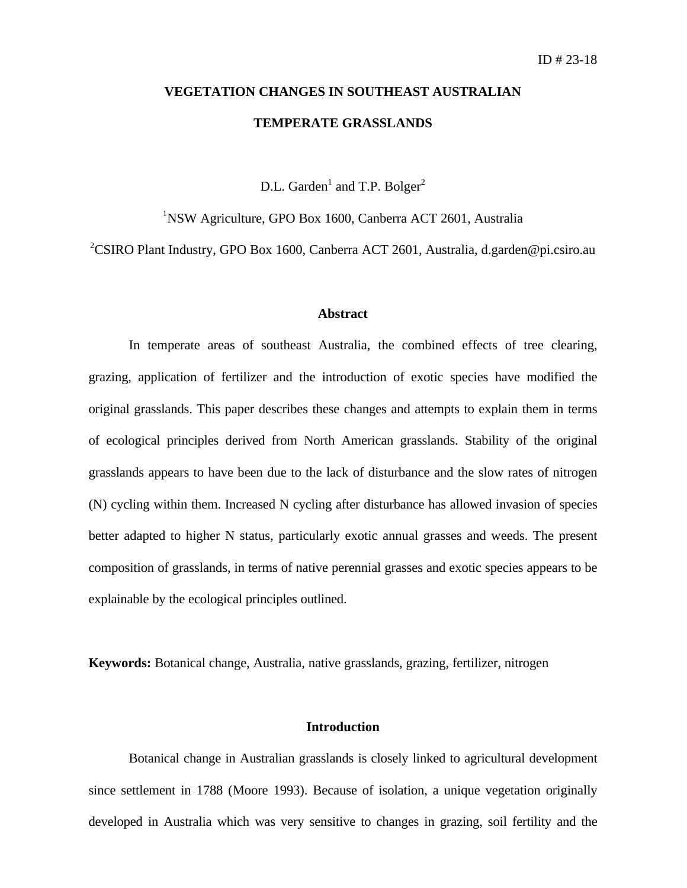## **VEGETATION CHANGES IN SOUTHEAST AUSTRALIAN TEMPERATE GRASSLANDS**

D.L. Garden<sup>1</sup> and T.P. Bolger<sup>2</sup>

<sup>1</sup>NSW Agriculture, GPO Box 1600, Canberra ACT 2601, Australia

<sup>2</sup>CSIRO Plant Industry, GPO Box 1600, Canberra ACT 2601, Australia, d.garden@pi.csiro.au

#### **Abstract**

In temperate areas of southeast Australia, the combined effects of tree clearing, grazing, application of fertilizer and the introduction of exotic species have modified the original grasslands. This paper describes these changes and attempts to explain them in terms of ecological principles derived from North American grasslands. Stability of the original grasslands appears to have been due to the lack of disturbance and the slow rates of nitrogen (N) cycling within them. Increased N cycling after disturbance has allowed invasion of species better adapted to higher N status, particularly exotic annual grasses and weeds. The present composition of grasslands, in terms of native perennial grasses and exotic species appears to be explainable by the ecological principles outlined.

**Keywords:** Botanical change, Australia, native grasslands, grazing, fertilizer, nitrogen

#### **Introduction**

Botanical change in Australian grasslands is closely linked to agricultural development since settlement in 1788 (Moore 1993). Because of isolation, a unique vegetation originally developed in Australia which was very sensitive to changes in grazing, soil fertility and the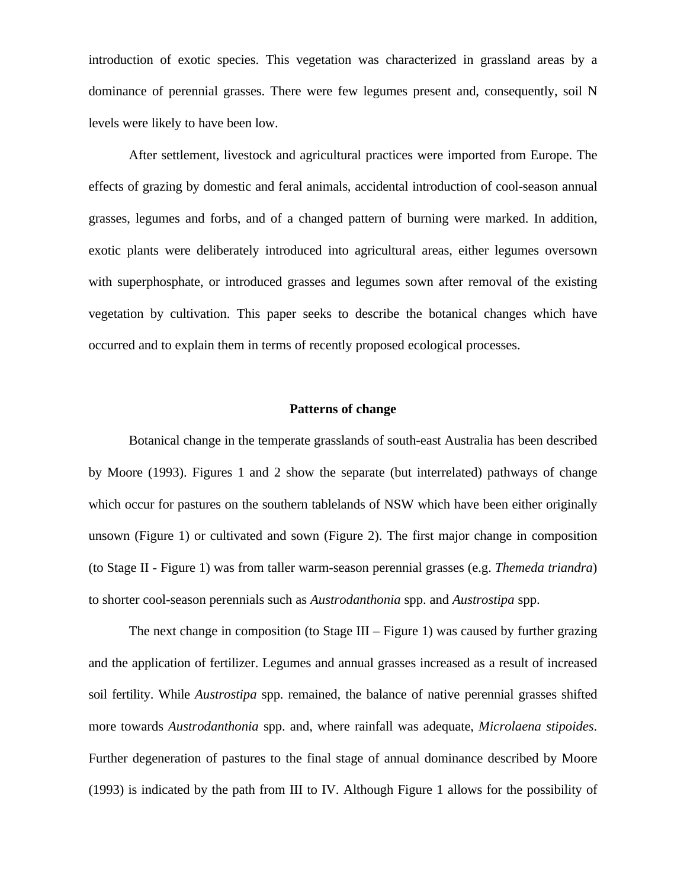introduction of exotic species. This vegetation was characterized in grassland areas by a dominance of perennial grasses. There were few legumes present and, consequently, soil N levels were likely to have been low.

After settlement, livestock and agricultural practices were imported from Europe. The effects of grazing by domestic and feral animals, accidental introduction of cool-season annual grasses, legumes and forbs, and of a changed pattern of burning were marked. In addition, exotic plants were deliberately introduced into agricultural areas, either legumes oversown with superphosphate, or introduced grasses and legumes sown after removal of the existing vegetation by cultivation. This paper seeks to describe the botanical changes which have occurred and to explain them in terms of recently proposed ecological processes.

#### **Patterns of change**

Botanical change in the temperate grasslands of south-east Australia has been described by Moore (1993). Figures 1 and 2 show the separate (but interrelated) pathways of change which occur for pastures on the southern tablelands of NSW which have been either originally unsown (Figure 1) or cultivated and sown (Figure 2). The first major change in composition (to Stage II - Figure 1) was from taller warm-season perennial grasses (e.g. *Themeda triandra*) to shorter cool-season perennials such as *Austrodanthonia* spp. and *Austrostipa* spp.

The next change in composition (to Stage III – Figure 1) was caused by further grazing and the application of fertilizer. Legumes and annual grasses increased as a result of increased soil fertility. While *Austrostipa* spp. remained, the balance of native perennial grasses shifted more towards *Austrodanthonia* spp. and, where rainfall was adequate, *Microlaena stipoides*. Further degeneration of pastures to the final stage of annual dominance described by Moore (1993) is indicated by the path from III to IV. Although Figure 1 allows for the possibility of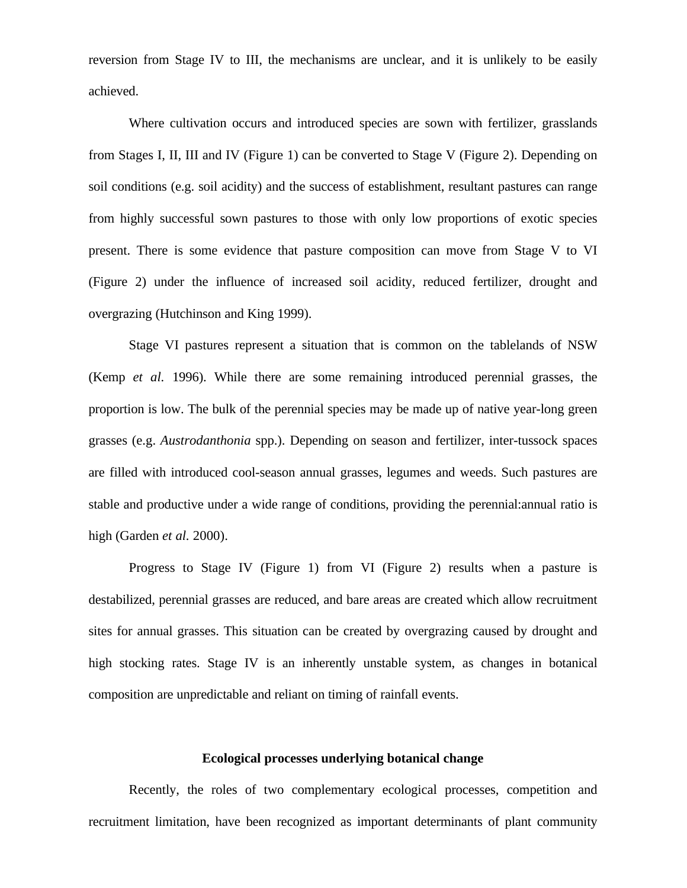reversion from Stage IV to III, the mechanisms are unclear, and it is unlikely to be easily achieved.

Where cultivation occurs and introduced species are sown with fertilizer, grasslands from Stages I, II, III and IV (Figure 1) can be converted to Stage V (Figure 2). Depending on soil conditions (e.g. soil acidity) and the success of establishment, resultant pastures can range from highly successful sown pastures to those with only low proportions of exotic species present. There is some evidence that pasture composition can move from Stage V to VI (Figure 2) under the influence of increased soil acidity, reduced fertilizer, drought and overgrazing (Hutchinson and King 1999).

Stage VI pastures represent a situation that is common on the tablelands of NSW (Kemp *et al.* 1996). While there are some remaining introduced perennial grasses, the proportion is low. The bulk of the perennial species may be made up of native year-long green grasses (e.g. *Austrodanthonia* spp.). Depending on season and fertilizer, inter-tussock spaces are filled with introduced cool-season annual grasses, legumes and weeds. Such pastures are stable and productive under a wide range of conditions, providing the perennial:annual ratio is high (Garden *et al.* 2000).

Progress to Stage IV (Figure 1) from VI (Figure 2) results when a pasture is destabilized, perennial grasses are reduced, and bare areas are created which allow recruitment sites for annual grasses. This situation can be created by overgrazing caused by drought and high stocking rates. Stage IV is an inherently unstable system, as changes in botanical composition are unpredictable and reliant on timing of rainfall events.

#### **Ecological processes underlying botanical change**

Recently, the roles of two complementary ecological processes, competition and recruitment limitation, have been recognized as important determinants of plant community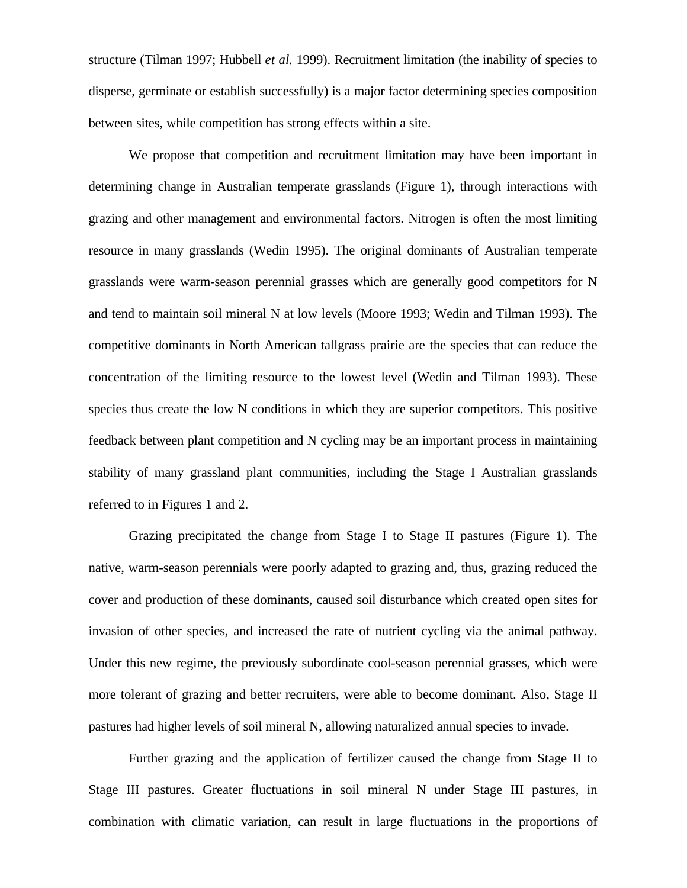structure (Tilman 1997; Hubbell *et al.* 1999). Recruitment limitation (the inability of species to disperse, germinate or establish successfully) is a major factor determining species composition between sites, while competition has strong effects within a site.

We propose that competition and recruitment limitation may have been important in determining change in Australian temperate grasslands (Figure 1), through interactions with grazing and other management and environmental factors. Nitrogen is often the most limiting resource in many grasslands (Wedin 1995). The original dominants of Australian temperate grasslands were warm-season perennial grasses which are generally good competitors for N and tend to maintain soil mineral N at low levels (Moore 1993; Wedin and Tilman 1993). The competitive dominants in North American tallgrass prairie are the species that can reduce the concentration of the limiting resource to the lowest level (Wedin and Tilman 1993). These species thus create the low N conditions in which they are superior competitors. This positive feedback between plant competition and N cycling may be an important process in maintaining stability of many grassland plant communities, including the Stage I Australian grasslands referred to in Figures 1 and 2.

Grazing precipitated the change from Stage I to Stage II pastures (Figure 1). The native, warm-season perennials were poorly adapted to grazing and, thus, grazing reduced the cover and production of these dominants, caused soil disturbance which created open sites for invasion of other species, and increased the rate of nutrient cycling via the animal pathway. Under this new regime, the previously subordinate cool-season perennial grasses, which were more tolerant of grazing and better recruiters, were able to become dominant. Also, Stage II pastures had higher levels of soil mineral N, allowing naturalized annual species to invade.

Further grazing and the application of fertilizer caused the change from Stage II to Stage III pastures. Greater fluctuations in soil mineral N under Stage III pastures, in combination with climatic variation, can result in large fluctuations in the proportions of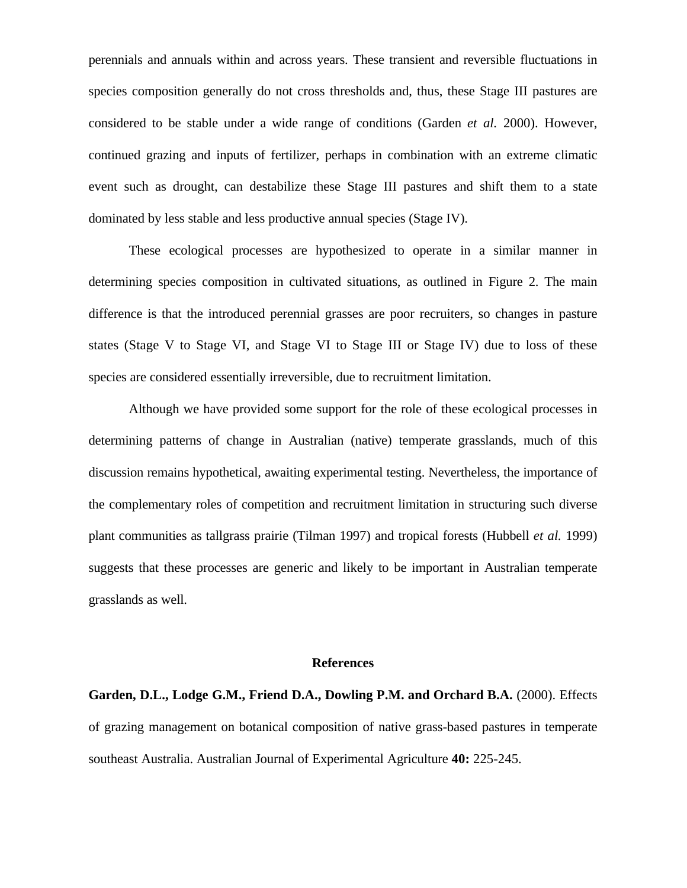perennials and annuals within and across years. These transient and reversible fluctuations in species composition generally do not cross thresholds and, thus, these Stage III pastures are considered to be stable under a wide range of conditions (Garden *et al.* 2000). However, continued grazing and inputs of fertilizer, perhaps in combination with an extreme climatic event such as drought, can destabilize these Stage III pastures and shift them to a state dominated by less stable and less productive annual species (Stage IV).

These ecological processes are hypothesized to operate in a similar manner in determining species composition in cultivated situations, as outlined in Figure 2. The main difference is that the introduced perennial grasses are poor recruiters, so changes in pasture states (Stage V to Stage VI, and Stage VI to Stage III or Stage IV) due to loss of these species are considered essentially irreversible, due to recruitment limitation.

Although we have provided some support for the role of these ecological processes in determining patterns of change in Australian (native) temperate grasslands, much of this discussion remains hypothetical, awaiting experimental testing. Nevertheless, the importance of the complementary roles of competition and recruitment limitation in structuring such diverse plant communities as tallgrass prairie (Tilman 1997) and tropical forests (Hubbell *et al.* 1999) suggests that these processes are generic and likely to be important in Australian temperate grasslands as well.

#### **References**

**Garden, D.L., Lodge G.M., Friend D.A., Dowling P.M. and Orchard B.A.** (2000). Effects of grazing management on botanical composition of native grass-based pastures in temperate southeast Australia. Australian Journal of Experimental Agriculture **40:** 225-245.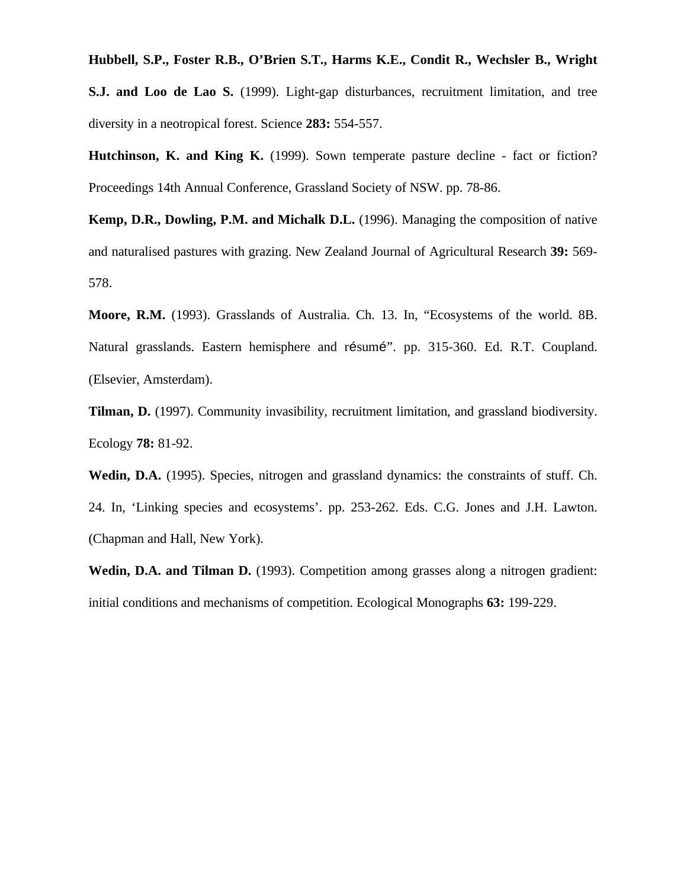**Hubbell, S.P., Foster R.B., O'Brien S.T., Harms K.E., Condit R., Wechsler B., Wright S.J. and Loo de Lao S.** (1999). Light-gap disturbances, recruitment limitation, and tree diversity in a neotropical forest. Science **283:** 554-557.

**Hutchinson, K. and King K.** (1999). Sown temperate pasture decline - fact or fiction? Proceedings 14th Annual Conference, Grassland Society of NSW. pp. 78-86.

**Kemp, D.R., Dowling, P.M. and Michalk D.L.** (1996). Managing the composition of native and naturalised pastures with grazing. New Zealand Journal of Agricultural Research **39:** 569- 578.

**Moore, R.M.** (1993). Grasslands of Australia. Ch. 13. In, "Ecosystems of the world. 8B. Natural grasslands. Eastern hemisphere and résumé". pp. 315-360. Ed. R.T. Coupland. (Elsevier, Amsterdam).

**Tilman, D.** (1997). Community invasibility, recruitment limitation, and grassland biodiversity. Ecology **78:** 81-92.

Wedin, D.A. (1995). Species, nitrogen and grassland dynamics: the constraints of stuff. Ch. 24. In, 'Linking species and ecosystems'. pp. 253-262. Eds. C.G. Jones and J.H. Lawton. (Chapman and Hall, New York).

**Wedin, D.A. and Tilman D.** (1993). Competition among grasses along a nitrogen gradient: initial conditions and mechanisms of competition. Ecological Monographs **63:** 199-229.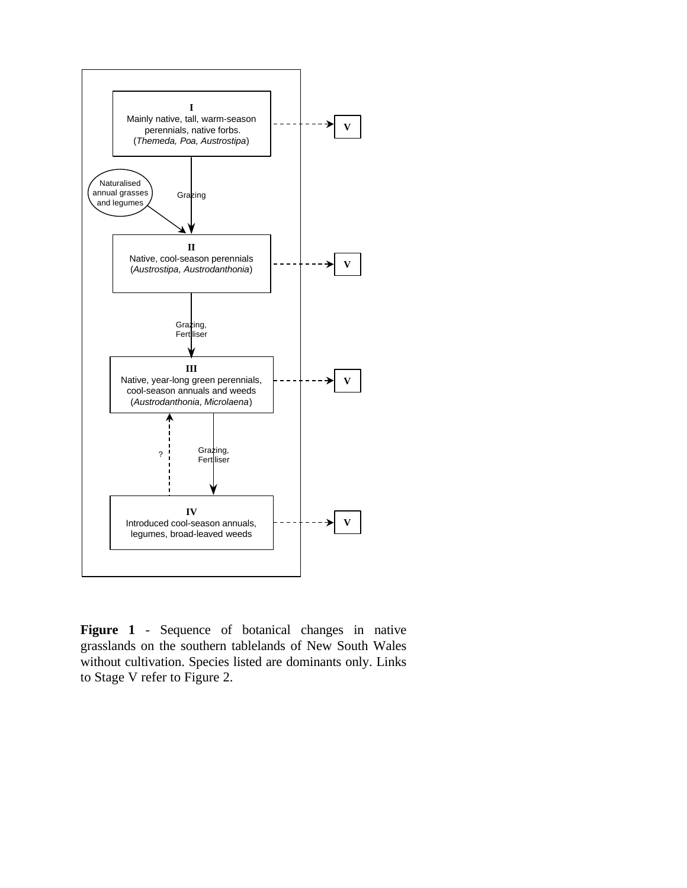

**Figure 1** - Sequence of botanical changes in native grasslands on the southern tablelands of New South Wales without cultivation. Species listed are dominants only. Links to Stage V refer to Figure 2.